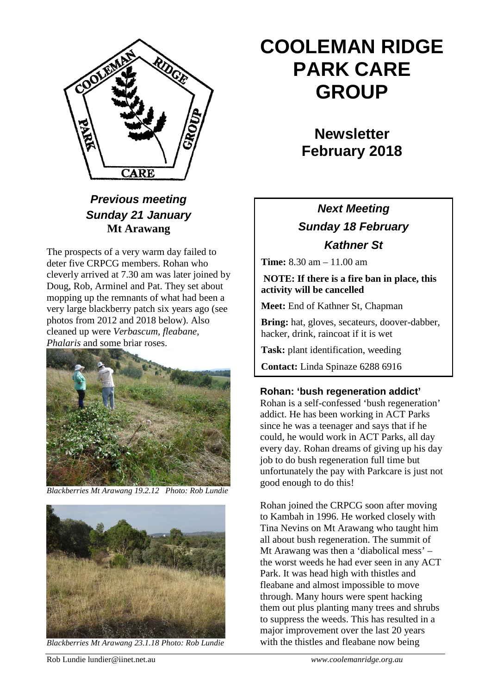

### *Previous meeting Sunday 21 January* **Mt Arawang**

The prospects of a very warm day failed to deter five CRPCG members. Rohan who cleverly arrived at 7.30 am was later joined by Doug, Rob, Arminel and Pat. They set about mopping up the remnants of what had been a very large blackberry patch six years ago (see photos from 2012 and 2018 below). Also cleaned up were *Verbascum, fleabane, Phalaris* and some briar roses.



*Blackberries Mt Arawang 19.2.12 Photo: Rob Lundie*



*Blackberries Mt Arawang 23.1.18 Photo: Rob Lundie*

# **COOLEMAN RIDGE PARK CARE GROUP**

**Newsletter February 2018** 

## *Next Meeting Sunday 18 February Kathner St*

**Time:** 8.30 am – 11.00 am

#### **NOTE: If there is a fire ban in place, this activity will be cancelled**

**Meet:** End of Kathner St, Chapman

**Bring:** hat, gloves, secateurs, doover-dabber, hacker, drink, raincoat if it is wet

**Task:** plant identification, weeding

**Contact:** Linda Spinaze 6288 6916

#### **Rohan: 'bush regeneration addict'**

Rohan is a self-confessed 'bush regeneration' addict. He has been working in ACT Parks since he was a teenager and says that if he could, he would work in ACT Parks, all day every day. Rohan dreams of giving up his day job to do bush regeneration full time but unfortunately the pay with Parkcare is just not good enough to do this!

Rohan joined the CRPCG soon after moving to Kambah in 1996. He worked closely with Tina Nevins on Mt Arawang who taught him all about bush regeneration. The summit of Mt Arawang was then a 'diabolical mess' – the worst weeds he had ever seen in any ACT Park. It was head high with thistles and fleabane and almost impossible to move through. Many hours were spent hacking them out plus planting many trees and shrubs to suppress the weeds. This has resulted in a major improvement over the last 20 years with the thistles and fleabane now being